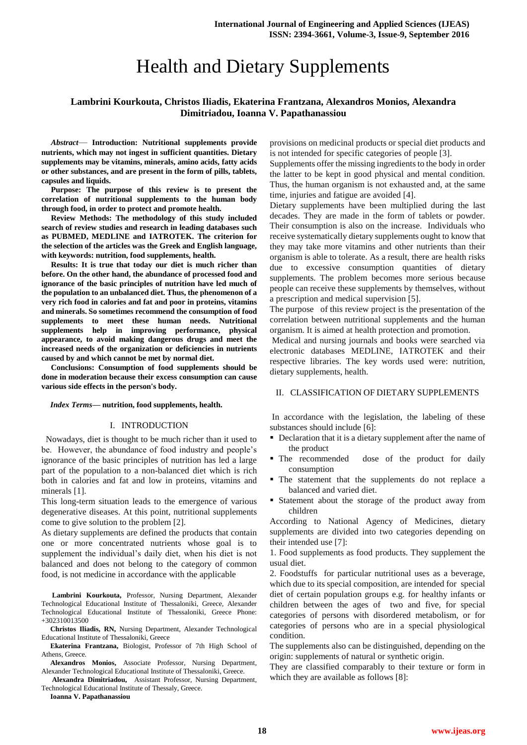# Health and Dietary Supplements

# **Lambrini Kourkouta, Christos Iliadis, Ekaterina Frantzana, Alexandros Monios, Alexandra Dimitriadou, Ioanna V. Papathanassiou**

*Abstract*— **Introduction: Nutritional supplements provide nutrients, which may not ingest in sufficient quantities. Dietary supplements may be vitamins, minerals, amino acids, fatty acids or other substances, and are present in the form of pills, tablets, capsules and liquids.**

**Purpose: The purpose of this review is to present the correlation of nutritional supplements to the human body through food, in order to protect and promote health.**

**Review Methods: The methodology of this study included search of review studies and research in leading databases such as PUBMED, MEDLINE and IATROTEK. The criterion for the selection of the articles was the Greek and English language, with keywords: nutrition, food supplements, health.**

**Results: It is true that today our diet is much richer than before. On the other hand, the abundance of processed food and ignorance of the basic principles of nutrition have led much of the population to an unbalanced diet. Thus, the phenomenon of a very rich food in calories and fat and poor in proteins, vitamins and minerals. So sometimes recommend the consumption of food supplements to meet these human needs. Nutritional supplements help in improving performance, physical appearance, to avoid making dangerous drugs and meet the increased needs of the organization or deficiencies in nutrients caused by and which cannot be met by normal diet.**

**Conclusions: Consumption of food supplements should be done in moderation because their excess consumption can cause various side effects in the person's body.**

#### *Index Terms***— nutrition, food supplements, health.**

#### I. INTRODUCTION

 Nowadays, diet is thought to be much richer than it used to be. However, the abundance of food industry and people's ignorance of the basic principles of nutrition has led a large part of the population to a non-balanced diet which is rich both in calories and fat and low in proteins, vitamins and minerals [1].

This long-term situation leads to the emergence of various degenerative diseases. At this point, nutritional supplements come to give solution to the problem [2].

As dietary supplements are defined the products that contain one or more concentrated nutrients whose goal is to supplement the individual's daily diet, when his diet is not balanced and does not belong to the category of common food, is not medicine in accordance with the applicable

**Lambrini Kourkouta,** Professor, Nursing Department, Alexander Technological Educational Institute of Thessaloniki, Greece, Alexander Technological Educational Institute of Thessaloniki, Greece Phone: +302310013500

**Christos Iliadis, RN,** Nursing Department, Alexander Technological Educational Institute of Thessaloniki, Greece

**Ekaterina Frantzana,** Biologist, Professor of 7th High School of Athens, Greece.

**Alexandros Monios,** Associate Professor, Nursing Department, Alexander Technological Educational Institute of Thessaloniki, Greece.

**Alexandra Dimitriadou,** Assistant Professor, Nursing Department, Technological Educational Institute of Thessaly, Greece.

**Ioanna V. Papathanassiou**

provisions on medicinal products or special diet products and is not intended for specific categories of people [3].

Supplements offer the missing ingredients to the body in order the latter to be kept in good physical and mental condition. Thus, the human organism is not exhausted and, at the same time, injuries and fatigue are avoided [4].

Dietary supplements have been multiplied during the last decades. They are made in the form of tablets or powder. Their consumption is also on the increase. Individuals who receive systematically dietary supplements ought to know that they may take more vitamins and other nutrients than their organism is able to tolerate. As a result, there are health risks due to excessive consumption quantities of dietary supplements. The problem becomes more serious because people can receive these supplements by themselves, without a prescription and medical supervision [5].

The purpose of this review project is the presentation of the correlation between nutritional supplements and the human organism. It is aimed at health protection and promotion.

Medical and nursing journals and books were searched via electronic databases MEDLINE, IATROTEK and their respective libraries. The key words used were: nutrition, dietary supplements, health.

### II. CLASSIFICATION OF DIETARY SUPPLEMENTS

In accordance with the legislation, the labeling of these substances should include [6]:

- Declaration that it is a dietary supplement after the name of the product
- The recommended dose of the product for daily consumption
- The statement that the supplements do not replace a balanced and varied diet.
- Statement about the storage of the product away from children

According to National Agency of Medicines, dietary supplements are divided into two categories depending on their intended use [7]:

1. Food supplements as food products. They supplement the usual diet.

2. Foodstuffs for particular nutritional uses as a beverage, which due to its special composition, are intended for special diet of certain population groups e.g. for healthy infants or children between the ages of two and five, for special categories of persons with disordered metabolism, or for categories of persons who are in a special physiological condition.

The supplements also can be distinguished, depending on the origin: supplements of natural or synthetic origin.

They are classified comparably to their texture or form in which they are available as follows [8]: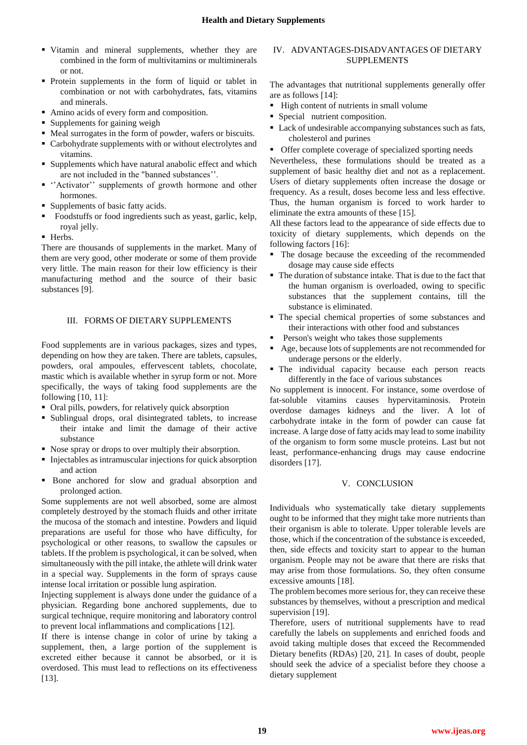- Vitamin and mineral supplements, whether they are combined in the form of multivitamins or multiminerals or not.
- Protein supplements in the form of liquid or tablet in combination or not with carbohydrates, fats, vitamins and minerals.
- Amino acids of every form and composition.
- Supplements for gaining weigh
- Meal surrogates in the form of powder, wafers or biscuits.
- Carbohydrate supplements with or without electrolytes and vitamins.
- Supplements which have natural anabolic effect and which are not included in the "banned substances''.
- ''Activator'' supplements of growth hormone and other hormones.
- Supplements of basic fatty acids.
- Foodstuffs or food ingredients such as yeast, garlic, kelp, royal jelly.
- **Herbs.**

There are thousands of supplements in the market. Many of them are very good, other moderate or some of them provide very little. The main reason for their low efficiency is their manufacturing method and the source of their basic substances [9].

## III. FORMS OF DIETARY SUPPLEMENTS

Food supplements are in various packages, sizes and types, depending on how they are taken. There are tablets, capsules, powders, oral ampoules, effervescent tablets, chocolate, mastic which is available whether in syrup form or not. More specifically, the ways of taking food supplements are the following [10, 11]:

- Oral pills, powders, for relatively quick absorption
- Sublingual drops, oral disintegrated tablets, to increase their intake and limit the damage of their active substance
- Nose spray or drops to over multiply their absorption.
- Injectables as intramuscular injections for quick absorption and action
- Bone anchored for slow and gradual absorption and prolonged action.

Some supplements are not well absorbed, some are almost completely destroyed by the stomach fluids and other irritate the mucosa of the stomach and intestine. Powders and liquid preparations are useful for those who have difficulty, for psychological or other reasons, to swallow the capsules or tablets. If the problem is psychological, it can be solved, when simultaneously with the pill intake, the athlete will drink water in a special way. Supplements in the form of sprays cause intense local irritation or possible lung aspiration.

Injecting supplement is always done under the guidance of a physician. Regarding bone anchored supplements, due to surgical technique, require monitoring and laboratory control to prevent local inflammations and complications [12].

If there is intense change in color of urine by taking a supplement, then, a large portion of the supplement is excreted either because it cannot be absorbed, or it is overdosed. This must lead to reflections on its effectiveness [13].

## IV. ADVANTAGES-DISADVANTAGES OF DIETARY SUPPLEMENTS

The advantages that nutritional supplements generally offer are as follows [14]:

- High content of nutrients in small volume
- Special nutrient composition.
- Lack of undesirable accompanying substances such as fats, cholesterol and purines
- **•** Offer complete coverage of specialized sporting needs

Nevertheless, these formulations should be treated as a supplement of basic healthy diet and not as a replacement. Users of dietary supplements often increase the dosage or frequency. As a result, doses become less and less effective. Thus, the human organism is forced to work harder to eliminate the extra amounts of these [15].

All these factors lead to the appearance of side effects due to toxicity of dietary supplements, which depends on the following factors [16]:

- The dosage because the exceeding of the recommended dosage may cause side effects
- The duration of substance intake. That is due to the fact that the human organism is overloaded, owing to specific substances that the supplement contains, till the substance is eliminated.
- The special chemical properties of some substances and their interactions with other food and substances
- Person's weight who takes those supplements
- Age, because lots of supplements are not recommended for underage persons or the elderly.
- The individual capacity because each person reacts differently in the face of various substances

No supplement is innocent. For instance, some overdose of fat-soluble vitamins causes hypervitaminosis. Protein overdose damages kidneys and the liver. A lot of carbohydrate intake in the form of powder can cause fat increase. A large dose of fatty acids may lead to some inability of the organism to form some muscle proteins. Last but not least, performance-enhancing drugs may cause endocrine disorders [17].

## V. CONCLUSION

Individuals who systematically take dietary supplements ought to be informed that they might take more nutrients than their organism is able to tolerate. Upper tolerable levels are those, which if the concentration of the substance is exceeded, then, side effects and toxicity start to appear to the human organism. People may not be aware that there are risks that may arise from those formulations. So, they often consume excessive amounts [18].

The problem becomes more serious for, they can receive these substances by themselves, without a prescription and medical supervision [19].

Therefore, users of nutritional supplements have to read carefully the labels on supplements and enriched foods and avoid taking multiple doses that exceed the Recommended Dietary benefits (RDAs) [20, 21]. In cases of doubt, people should seek the advice of a specialist before they choose a dietary supplement